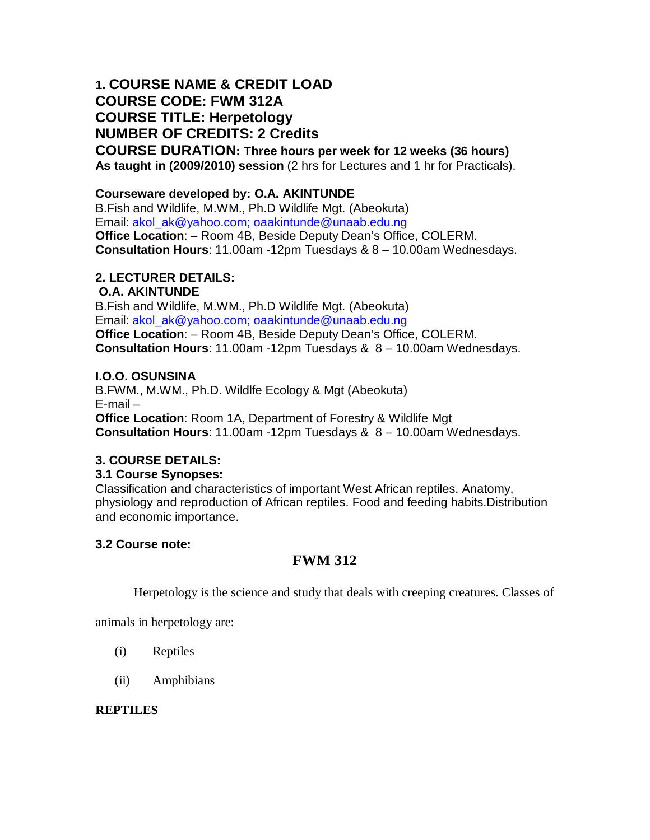# **1. COURSE NAME & CREDIT LOAD COURSE CODE: FWM 312A COURSE TITLE: Herpetology NUMBER OF CREDITS: 2 Credits**

**COURSE DURATION: Three hours per week for 12 weeks (36 hours) As taught in (2009/2010) session** (2 hrs for Lectures and 1 hr for Practicals).

## **Courseware developed by: O.A. AKINTUNDE**

B.Fish and Wildlife, M.WM., Ph.D Wildlife Mgt. (Abeokuta) Email: akol\_ak@yahoo.com; oaakintunde@unaab.edu.ng **Office Location**: – Room 4B, Beside Deputy Dean's Office, COLERM. **Consultation Hours**: 11.00am -12pm Tuesdays & 8 – 10.00am Wednesdays.

## **2. LECTURER DETAILS:**

**O.A. AKINTUNDE** B.Fish and Wildlife, M.WM., Ph.D Wildlife Mgt. (Abeokuta) Email: akol\_ak@yahoo.com; oaakintunde@unaab.edu.ng **Office Location**: – Room 4B, Beside Deputy Dean's Office, COLERM. **Consultation Hours**: 11.00am -12pm Tuesdays & 8 – 10.00am Wednesdays.

## **I.O.O. OSUNSINA**

B.FWM., M.WM., Ph.D. Wildlfe Ecology & Mgt (Abeokuta) E-mail – **Office Location**: Room 1A, Department of Forestry & Wildlife Mgt **Consultation Hours**: 11.00am -12pm Tuesdays & 8 – 10.00am Wednesdays.

## **3. COURSE DETAILS:**

## **3.1 Course Synopses:**

Classification and characteristics of important West African reptiles. Anatomy, physiology and reproduction of African reptiles. Food and feeding habits.Distribution and economic importance.

## **3.2 Course note:**

## **FWM 312**

Herpetology is the science and study that deals with creeping creatures. Classes of

animals in herpetology are:

- (i) Reptiles
- (ii) Amphibians

## **REPTILES**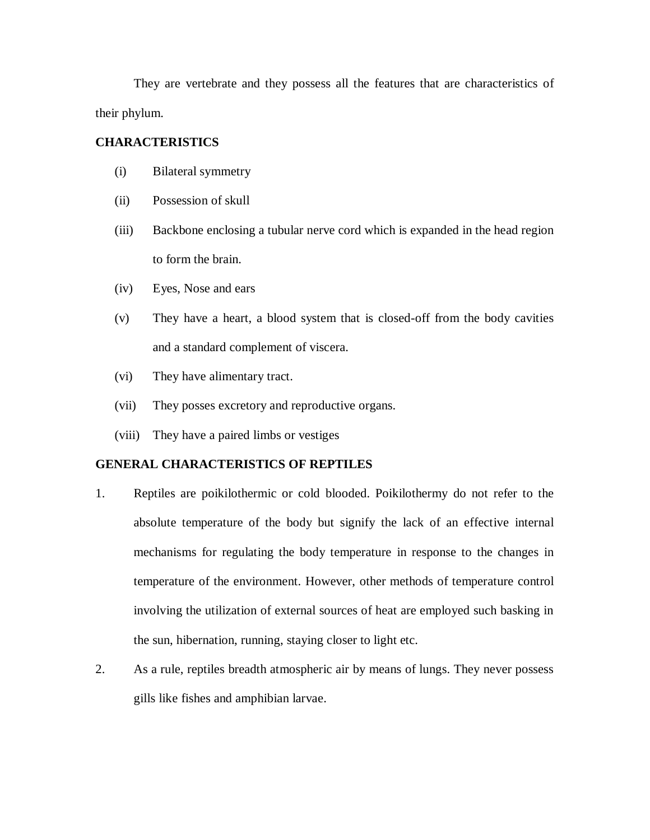They are vertebrate and they possess all the features that are characteristics of their phylum.

## **CHARACTERISTICS**

- (i) Bilateral symmetry
- (ii) Possession of skull
- (iii) Backbone enclosing a tubular nerve cord which is expanded in the head region to form the brain.
- (iv) Eyes, Nose and ears
- (v) They have a heart, a blood system that is closed-off from the body cavities and a standard complement of viscera.
- (vi) They have alimentary tract.
- (vii) They posses excretory and reproductive organs.
- (viii) They have a paired limbs or vestiges

#### **GENERAL CHARACTERISTICS OF REPTILES**

- 1. Reptiles are poikilothermic or cold blooded. Poikilothermy do not refer to the absolute temperature of the body but signify the lack of an effective internal mechanisms for regulating the body temperature in response to the changes in temperature of the environment. However, other methods of temperature control involving the utilization of external sources of heat are employed such basking in the sun, hibernation, running, staying closer to light etc.
- 2. As a rule, reptiles breadth atmospheric air by means of lungs. They never possess gills like fishes and amphibian larvae.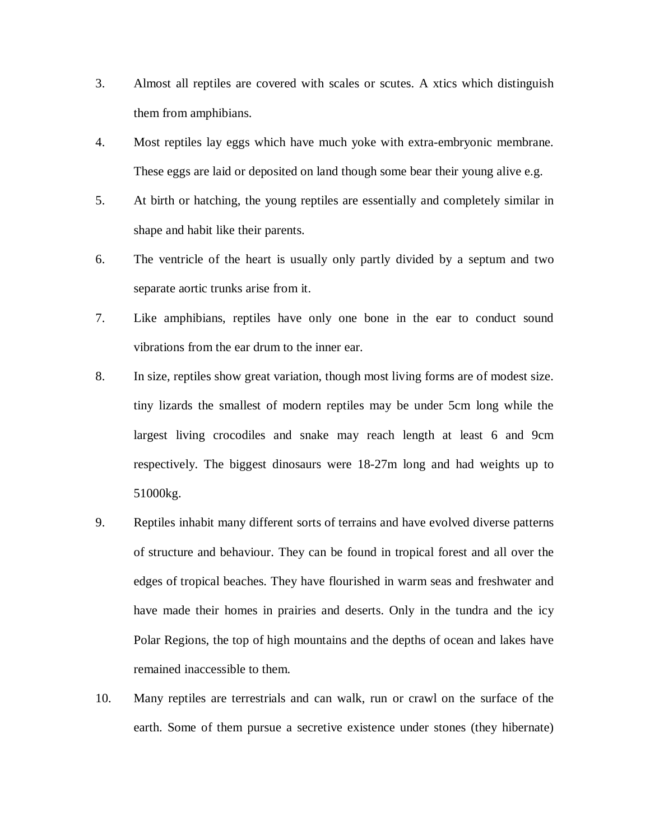- 3. Almost all reptiles are covered with scales or scutes. A xtics which distinguish them from amphibians.
- 4. Most reptiles lay eggs which have much yoke with extra-embryonic membrane. These eggs are laid or deposited on land though some bear their young alive e.g.
- 5. At birth or hatching, the young reptiles are essentially and completely similar in shape and habit like their parents.
- 6. The ventricle of the heart is usually only partly divided by a septum and two separate aortic trunks arise from it.
- 7. Like amphibians, reptiles have only one bone in the ear to conduct sound vibrations from the ear drum to the inner ear.
- 8. In size, reptiles show great variation, though most living forms are of modest size. tiny lizards the smallest of modern reptiles may be under 5cm long while the largest living crocodiles and snake may reach length at least 6 and 9cm respectively. The biggest dinosaurs were 18-27m long and had weights up to 51000kg.
- 9. Reptiles inhabit many different sorts of terrains and have evolved diverse patterns of structure and behaviour. They can be found in tropical forest and all over the edges of tropical beaches. They have flourished in warm seas and freshwater and have made their homes in prairies and deserts. Only in the tundra and the icy Polar Regions, the top of high mountains and the depths of ocean and lakes have remained inaccessible to them.
- 10. Many reptiles are terrestrials and can walk, run or crawl on the surface of the earth. Some of them pursue a secretive existence under stones (they hibernate)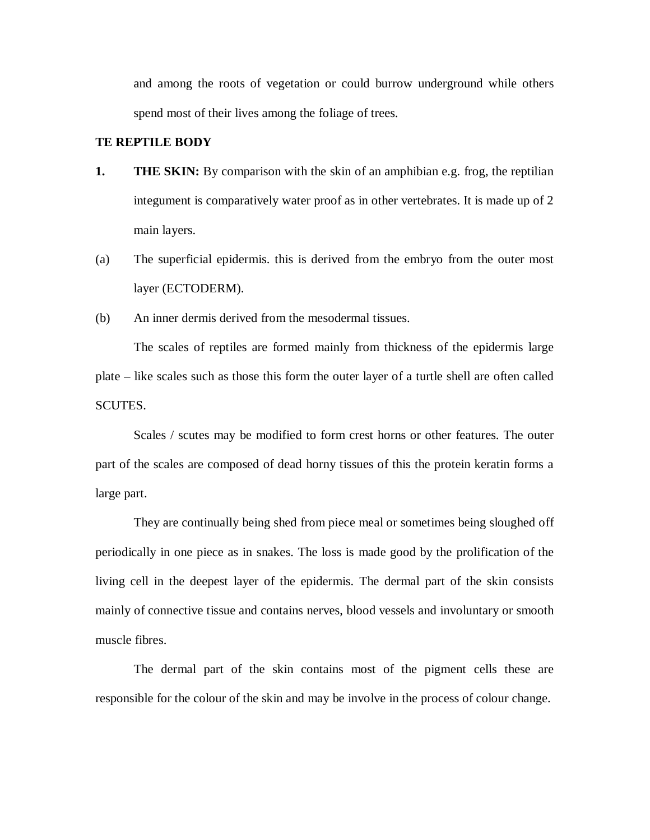and among the roots of vegetation or could burrow underground while others spend most of their lives among the foliage of trees.

## **TE REPTILE BODY**

- **1. THE SKIN:** By comparison with the skin of an amphibian e.g. frog, the reptilian integument is comparatively water proof as in other vertebrates. It is made up of 2 main layers.
- (a) The superficial epidermis. this is derived from the embryo from the outer most layer (ECTODERM).
- (b) An inner dermis derived from the mesodermal tissues.

The scales of reptiles are formed mainly from thickness of the epidermis large plate – like scales such as those this form the outer layer of a turtle shell are often called SCUTES.

Scales / scutes may be modified to form crest horns or other features. The outer part of the scales are composed of dead horny tissues of this the protein keratin forms a large part.

They are continually being shed from piece meal or sometimes being sloughed off periodically in one piece as in snakes. The loss is made good by the prolification of the living cell in the deepest layer of the epidermis. The dermal part of the skin consists mainly of connective tissue and contains nerves, blood vessels and involuntary or smooth muscle fibres.

The dermal part of the skin contains most of the pigment cells these are responsible for the colour of the skin and may be involve in the process of colour change.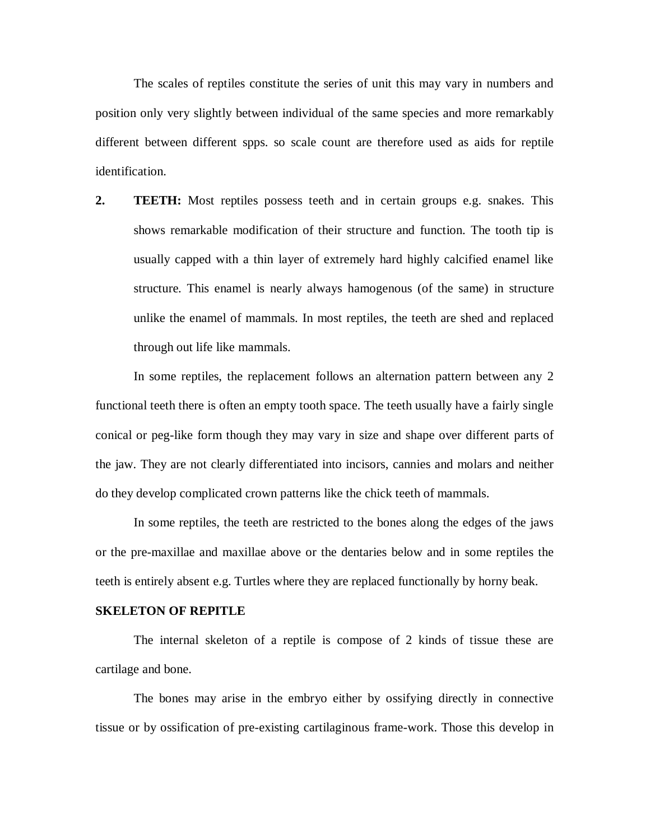The scales of reptiles constitute the series of unit this may vary in numbers and position only very slightly between individual of the same species and more remarkably different between different spps. so scale count are therefore used as aids for reptile identification.

**2. TEETH:** Most reptiles possess teeth and in certain groups e.g. snakes. This shows remarkable modification of their structure and function. The tooth tip is usually capped with a thin layer of extremely hard highly calcified enamel like structure. This enamel is nearly always hamogenous (of the same) in structure unlike the enamel of mammals. In most reptiles, the teeth are shed and replaced through out life like mammals.

In some reptiles, the replacement follows an alternation pattern between any 2 functional teeth there is often an empty tooth space. The teeth usually have a fairly single conical or peg-like form though they may vary in size and shape over different parts of the jaw. They are not clearly differentiated into incisors, cannies and molars and neither do they develop complicated crown patterns like the chick teeth of mammals.

In some reptiles, the teeth are restricted to the bones along the edges of the jaws or the pre-maxillae and maxillae above or the dentaries below and in some reptiles the teeth is entirely absent e.g. Turtles where they are replaced functionally by horny beak.

#### **SKELETON OF REPITLE**

The internal skeleton of a reptile is compose of 2 kinds of tissue these are cartilage and bone.

The bones may arise in the embryo either by ossifying directly in connective tissue or by ossification of pre-existing cartilaginous frame-work. Those this develop in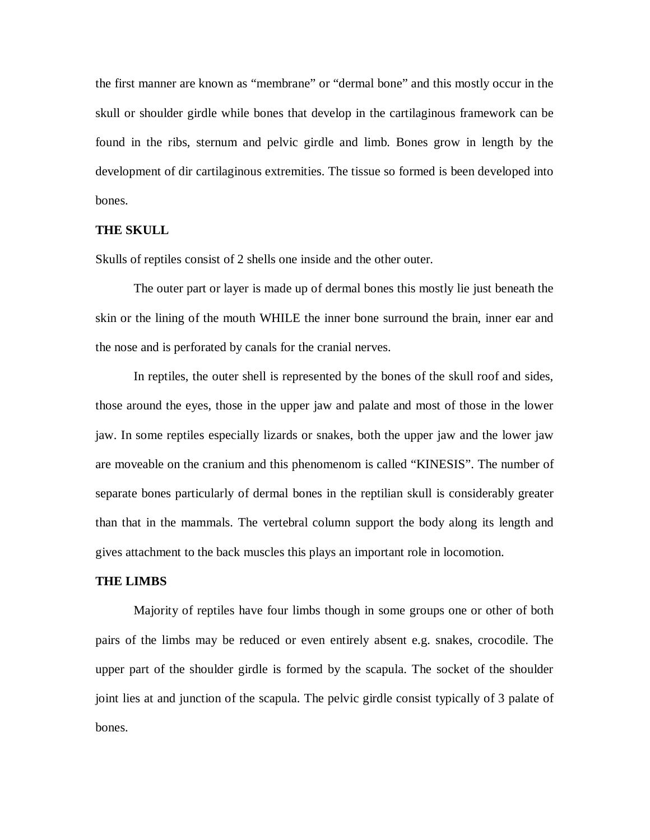the first manner are known as "membrane" or "dermal bone" and this mostly occur in the skull or shoulder girdle while bones that develop in the cartilaginous framework can be found in the ribs, sternum and pelvic girdle and limb. Bones grow in length by the development of dir cartilaginous extremities. The tissue so formed is been developed into bones.

#### **THE SKULL**

Skulls of reptiles consist of 2 shells one inside and the other outer.

The outer part or layer is made up of dermal bones this mostly lie just beneath the skin or the lining of the mouth WHILE the inner bone surround the brain, inner ear and the nose and is perforated by canals for the cranial nerves.

In reptiles, the outer shell is represented by the bones of the skull roof and sides, those around the eyes, those in the upper jaw and palate and most of those in the lower jaw. In some reptiles especially lizards or snakes, both the upper jaw and the lower jaw are moveable on the cranium and this phenomenom is called "KINESIS". The number of separate bones particularly of dermal bones in the reptilian skull is considerably greater than that in the mammals. The vertebral column support the body along its length and gives attachment to the back muscles this plays an important role in locomotion.

#### **THE LIMBS**

Majority of reptiles have four limbs though in some groups one or other of both pairs of the limbs may be reduced or even entirely absent e.g. snakes, crocodile. The upper part of the shoulder girdle is formed by the scapula. The socket of the shoulder joint lies at and junction of the scapula. The pelvic girdle consist typically of 3 palate of bones.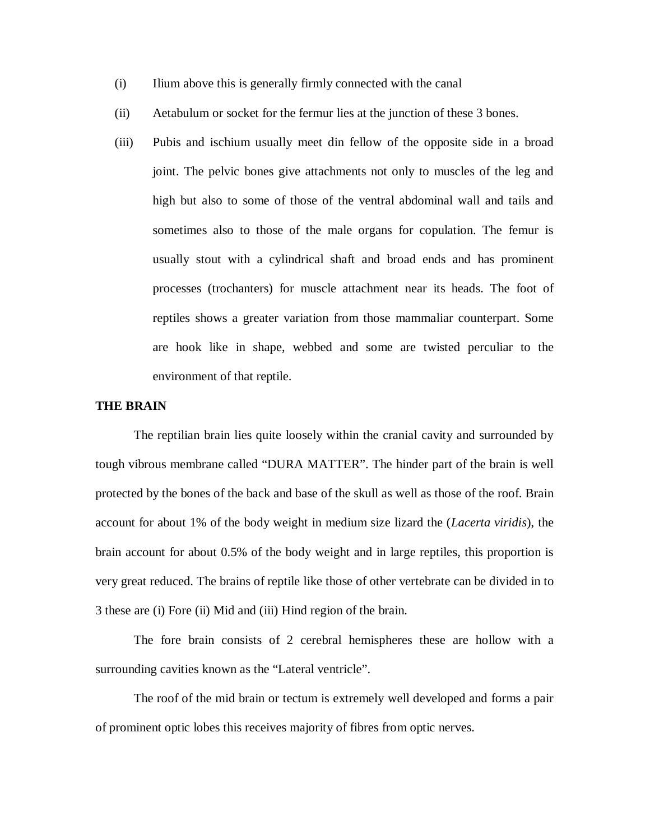- (i) Ilium above this is generally firmly connected with the canal
- (ii) Aetabulum or socket for the fermur lies at the junction of these 3 bones.
- (iii) Pubis and ischium usually meet din fellow of the opposite side in a broad joint. The pelvic bones give attachments not only to muscles of the leg and high but also to some of those of the ventral abdominal wall and tails and sometimes also to those of the male organs for copulation. The femur is usually stout with a cylindrical shaft and broad ends and has prominent processes (trochanters) for muscle attachment near its heads. The foot of reptiles shows a greater variation from those mammaliar counterpart. Some are hook like in shape, webbed and some are twisted perculiar to the environment of that reptile.

#### **THE BRAIN**

The reptilian brain lies quite loosely within the cranial cavity and surrounded by tough vibrous membrane called "DURA MATTER". The hinder part of the brain is well protected by the bones of the back and base of the skull as well as those of the roof. Brain account for about 1% of the body weight in medium size lizard the (*Lacerta viridis*), the brain account for about 0.5% of the body weight and in large reptiles, this proportion is very great reduced. The brains of reptile like those of other vertebrate can be divided in to 3 these are (i) Fore (ii) Mid and (iii) Hind region of the brain.

The fore brain consists of 2 cerebral hemispheres these are hollow with a surrounding cavities known as the "Lateral ventricle".

The roof of the mid brain or tectum is extremely well developed and forms a pair of prominent optic lobes this receives majority of fibres from optic nerves.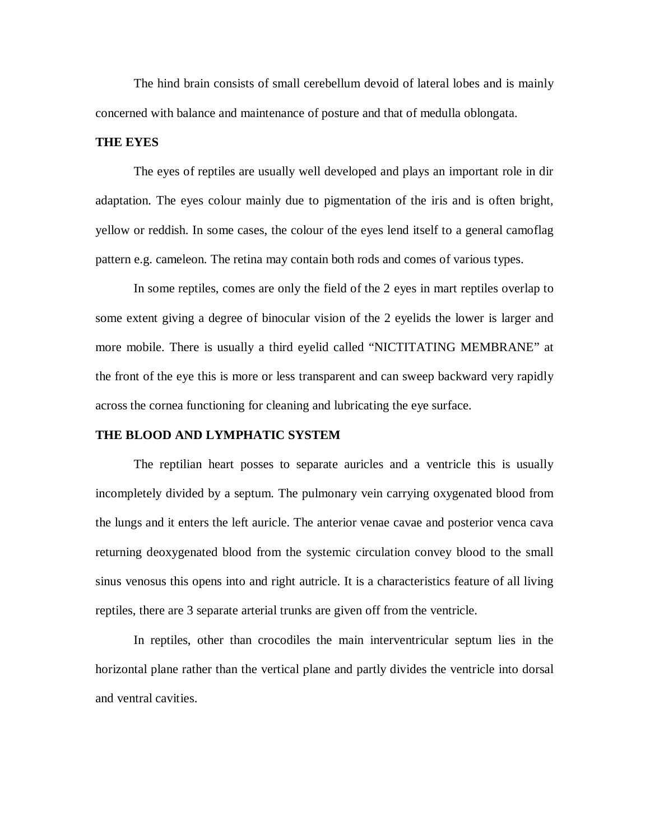The hind brain consists of small cerebellum devoid of lateral lobes and is mainly concerned with balance and maintenance of posture and that of medulla oblongata.

#### **THE EYES**

The eyes of reptiles are usually well developed and plays an important role in dir adaptation. The eyes colour mainly due to pigmentation of the iris and is often bright, yellow or reddish. In some cases, the colour of the eyes lend itself to a general camoflag pattern e.g. cameleon. The retina may contain both rods and comes of various types.

In some reptiles, comes are only the field of the 2 eyes in mart reptiles overlap to some extent giving a degree of binocular vision of the 2 eyelids the lower is larger and more mobile. There is usually a third eyelid called "NICTITATING MEMBRANE" at the front of the eye this is more or less transparent and can sweep backward very rapidly across the cornea functioning for cleaning and lubricating the eye surface.

#### **THE BLOOD AND LYMPHATIC SYSTEM**

The reptilian heart posses to separate auricles and a ventricle this is usually incompletely divided by a septum. The pulmonary vein carrying oxygenated blood from the lungs and it enters the left auricle. The anterior venae cavae and posterior venca cava returning deoxygenated blood from the systemic circulation convey blood to the small sinus venosus this opens into and right autricle. It is a characteristics feature of all living reptiles, there are 3 separate arterial trunks are given off from the ventricle.

In reptiles, other than crocodiles the main interventricular septum lies in the horizontal plane rather than the vertical plane and partly divides the ventricle into dorsal and ventral cavities.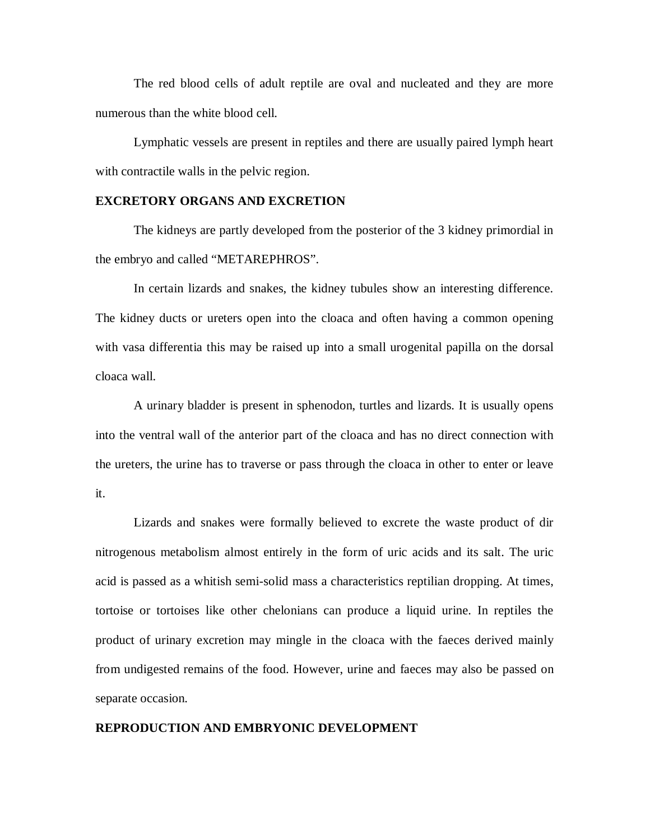The red blood cells of adult reptile are oval and nucleated and they are more numerous than the white blood cell.

Lymphatic vessels are present in reptiles and there are usually paired lymph heart with contractile walls in the pelvic region.

## **EXCRETORY ORGANS AND EXCRETION**

The kidneys are partly developed from the posterior of the 3 kidney primordial in the embryo and called "METAREPHROS".

In certain lizards and snakes, the kidney tubules show an interesting difference. The kidney ducts or ureters open into the cloaca and often having a common opening with vasa differentia this may be raised up into a small urogenital papilla on the dorsal cloaca wall.

A urinary bladder is present in sphenodon, turtles and lizards. It is usually opens into the ventral wall of the anterior part of the cloaca and has no direct connection with the ureters, the urine has to traverse or pass through the cloaca in other to enter or leave it.

Lizards and snakes were formally believed to excrete the waste product of dir nitrogenous metabolism almost entirely in the form of uric acids and its salt. The uric acid is passed as a whitish semi-solid mass a characteristics reptilian dropping. At times, tortoise or tortoises like other chelonians can produce a liquid urine. In reptiles the product of urinary excretion may mingle in the cloaca with the faeces derived mainly from undigested remains of the food. However, urine and faeces may also be passed on separate occasion.

#### **REPRODUCTION AND EMBRYONIC DEVELOPMENT**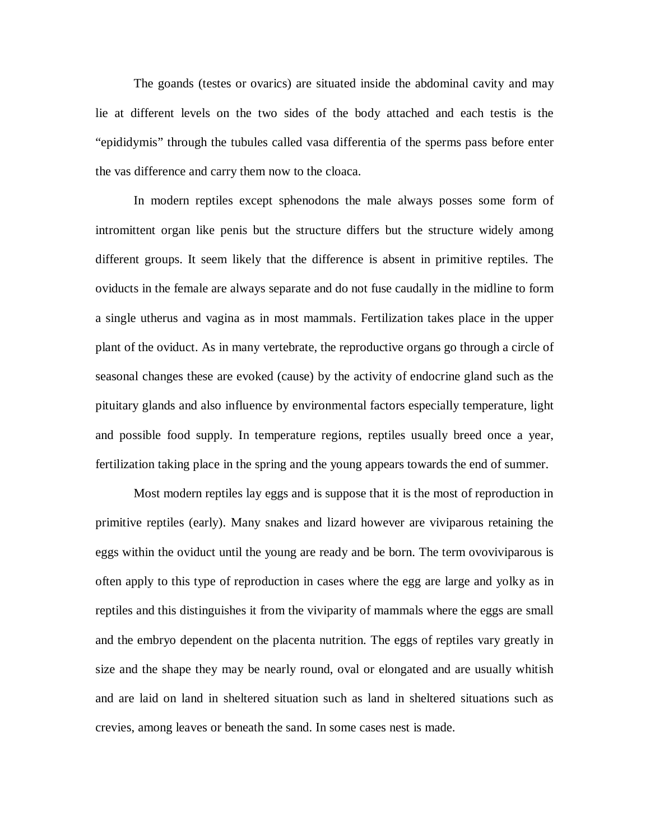The goands (testes or ovarics) are situated inside the abdominal cavity and may lie at different levels on the two sides of the body attached and each testis is the "epididymis" through the tubules called vasa differentia of the sperms pass before enter the vas difference and carry them now to the cloaca.

In modern reptiles except sphenodons the male always posses some form of intromittent organ like penis but the structure differs but the structure widely among different groups. It seem likely that the difference is absent in primitive reptiles. The oviducts in the female are always separate and do not fuse caudally in the midline to form a single utherus and vagina as in most mammals. Fertilization takes place in the upper plant of the oviduct. As in many vertebrate, the reproductive organs go through a circle of seasonal changes these are evoked (cause) by the activity of endocrine gland such as the pituitary glands and also influence by environmental factors especially temperature, light and possible food supply. In temperature regions, reptiles usually breed once a year, fertilization taking place in the spring and the young appears towards the end of summer.

Most modern reptiles lay eggs and is suppose that it is the most of reproduction in primitive reptiles (early). Many snakes and lizard however are viviparous retaining the eggs within the oviduct until the young are ready and be born. The term ovoviviparous is often apply to this type of reproduction in cases where the egg are large and yolky as in reptiles and this distinguishes it from the viviparity of mammals where the eggs are small and the embryo dependent on the placenta nutrition. The eggs of reptiles vary greatly in size and the shape they may be nearly round, oval or elongated and are usually whitish and are laid on land in sheltered situation such as land in sheltered situations such as crevies, among leaves or beneath the sand. In some cases nest is made.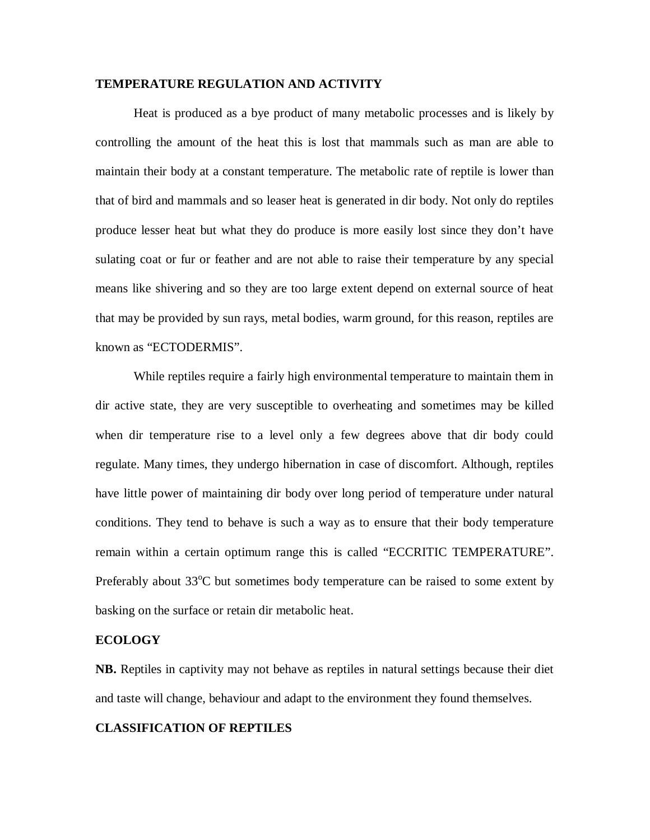#### **TEMPERATURE REGULATION AND ACTIVITY**

Heat is produced as a bye product of many metabolic processes and is likely by controlling the amount of the heat this is lost that mammals such as man are able to maintain their body at a constant temperature. The metabolic rate of reptile is lower than that of bird and mammals and so leaser heat is generated in dir body. Not only do reptiles produce lesser heat but what they do produce is more easily lost since they don't have sulating coat or fur or feather and are not able to raise their temperature by any special means like shivering and so they are too large extent depend on external source of heat that may be provided by sun rays, metal bodies, warm ground, for this reason, reptiles are known as "ECTODERMIS".

While reptiles require a fairly high environmental temperature to maintain them in dir active state, they are very susceptible to overheating and sometimes may be killed when dir temperature rise to a level only a few degrees above that dir body could regulate. Many times, they undergo hibernation in case of discomfort. Although, reptiles have little power of maintaining dir body over long period of temperature under natural conditions. They tend to behave is such a way as to ensure that their body temperature remain within a certain optimum range this is called "ECCRITIC TEMPERATURE". Preferably about  $33^{\circ}$ C but sometimes body temperature can be raised to some extent by basking on the surface or retain dir metabolic heat.

#### **ECOLOGY**

**NB.** Reptiles in captivity may not behave as reptiles in natural settings because their diet and taste will change, behaviour and adapt to the environment they found themselves.

#### **CLASSIFICATION OF REPTILES**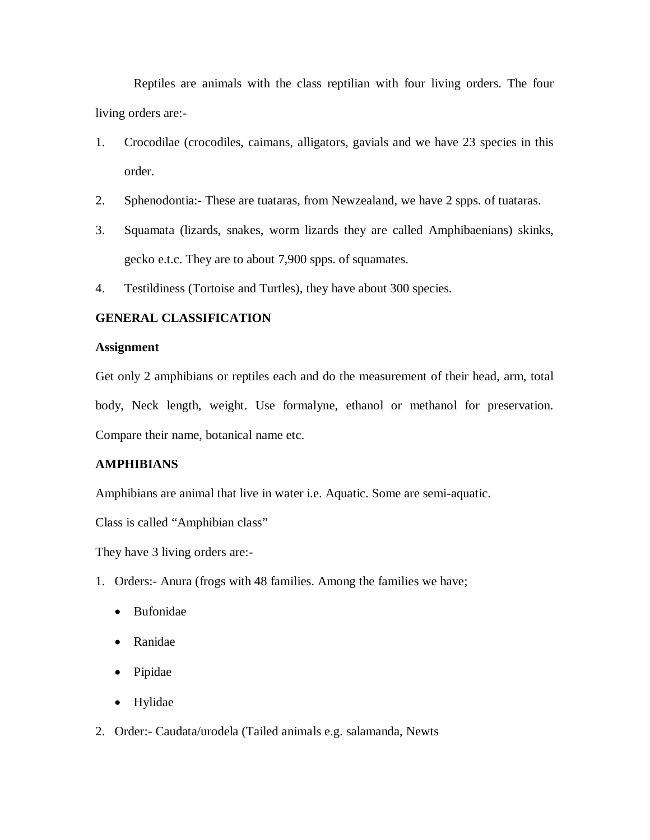Reptiles are animals with the class reptilian with four living orders. The four living orders are:-

- 1. Crocodilae (crocodiles, caimans, alligators, gavials and we have 23 species in this order.
- 2. Sphenodontia:- These are tuataras, from Newzealand, we have 2 spps. of tuataras.
- 3. Squamata (lizards, snakes, worm lizards they are called Amphibaenians) skinks, gecko e.t.c. They are to about 7,900 spps. of squamates.
- 4. Testildiness (Tortoise and Turtles), they have about 300 species.

## **GENERAL CLASSIFICATION**

### **Assignment**

Get only 2 amphibians or reptiles each and do the measurement of their head, arm, total body, Neck length, weight. Use formalyne, ethanol or methanol for preservation. Compare their name, botanical name etc.

## **AMPHIBIANS**

Amphibians are animal that live in water i.e. Aquatic. Some are semi-aquatic.

Class is called "Amphibian class"

They have 3 living orders are:-

- 1. Orders:- Anura (frogs with 48 families. Among the families we have;
	- Bufonidae
	- Ranidae
	- Pipidae
	- Hylidae
- 2. Order:- Caudata/urodela (Tailed animals e.g. salamanda, Newts